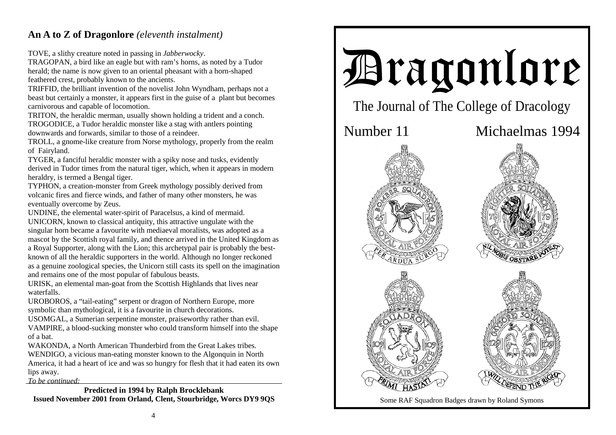## **An A to Z of Dragonlore** *(eleventh instalment)*

TOVE, a slithy creature noted in passing in *Jabberwocky*.

TRAGOPAN, a bird like an eagle but with ram's horns, as noted by a Tudor herald; the name is now given to an oriental pheasant with a horn-shaped feathered crest, probably known to the ancients.

TRIFFID, the brilliant invention of the novelist John Wyndham, perhaps not a beast but certainly a monster, it appears first in the guise of a plant but becomes carnivorous and capable of locomotion.

TRITON, the heraldic merman, usually shown holding a trident and a conch. TROGODICE, a Tudor heraldic monster like a stag with antlers pointing downwards and forwards, similar to those of a reindeer.

TROLL, a gnome-like creature from Norse mythology, properly from the realm of Fairyland.

TYGER, a fanciful heraldic monster with a spiky nose and tusks, evidently derived in Tudor times from the natural tiger, which, when it appears in modern heraldry, is termed a Bengal tiger.

TYPHON, a creation-monster from Greek mythology possibly derived from volcanic fires and fierce winds, and father of many other monsters, he was eventually overcome by Zeus.

UNDINE, the elemental water-spirit of Paracelsus, a kind of mermaid. UNICORN, known to classical antiquity, this attractive ungulate with the singular horn became a favourite with mediaeval moralists, was adopted as a mascot by the Scottish royal family, and thence arrived in the United Kingdom as a Royal Supporter, along with the Lion; this archetypal pair is probably the bestknown of all the heraldic supporters in the world. Although no longer reckoned as a genuine zoological species, the Unicorn still casts its spell on the imagination and remains one of the most popular of fabulous beasts.

URISK, an elemental man-goat from the Scottish Highlands that lives near waterfalls.

UROBOROS, a "tail-eating" serpent or dragon of Northern Europe, more symbolic than mythological, it is a favourite in church decorations.

USOMGAL, a Sumerian serpentine monster, praiseworthy rather than evil. VAMPIRE, a blood-sucking monster who could transform himself into the shape of a bat.

WAKONDA, a North American Thunderbird from the Great Lakes tribes. WENDIGO, a vicious man-eating monster known to the Algonquin in North America, it had a heart of ice and was so hungry for flesh that it had eaten its own lips away. *To be continued:*

**Predicted in 1994 by Ralph Brocklebank Issued November 2001 from Orland, Clent, Stourbridge, Worcs DY9 9QS**